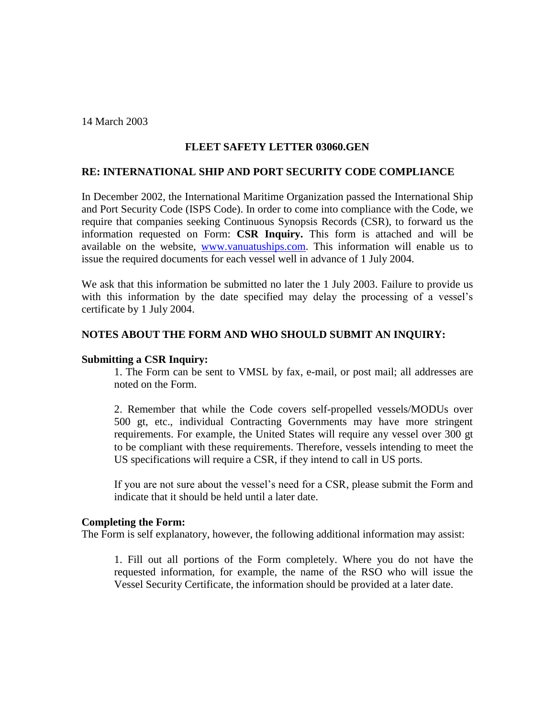14 March 2003

# **FLEET SAFETY LETTER 03060.GEN**

## **RE: INTERNATIONAL SHIP AND PORT SECURITY CODE COMPLIANCE**

In December 2002, the International Maritime Organization passed the International Ship and Port Security Code (ISPS Code). In order to come into compliance with the Code, we require that companies seeking Continuous Synopsis Records (CSR), to forward us the information requested on Form: **CSR Inquiry.** This form is attached and will be available on the website, [www.vanuatuships.com.](http://www.vanuatuships.com/) This information will enable us to issue the required documents for each vessel well in advance of 1 July 2004.

We ask that this information be submitted no later the 1 July 2003. Failure to provide us with this information by the date specified may delay the processing of a vessel's certificate by 1 July 2004.

### **NOTES ABOUT THE FORM AND WHO SHOULD SUBMIT AN INQUIRY:**

### **Submitting a CSR Inquiry:**

1. The Form can be sent to VMSL by fax, e-mail, or post mail; all addresses are noted on the Form.

2. Remember that while the Code covers self-propelled vessels/MODUs over 500 gt, etc., individual Contracting Governments may have more stringent requirements. For example, the United States will require any vessel over 300 gt to be compliant with these requirements. Therefore, vessels intending to meet the US specifications will require a CSR, if they intend to call in US ports.

If you are not sure about the vessel's need for a CSR, please submit the Form and indicate that it should be held until a later date.

#### **Completing the Form:**

The Form is self explanatory, however, the following additional information may assist:

1. Fill out all portions of the Form completely. Where you do not have the requested information, for example, the name of the RSO who will issue the Vessel Security Certificate, the information should be provided at a later date.